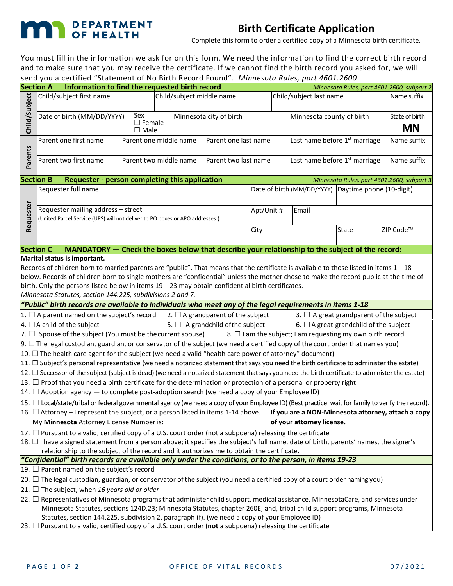## **MAN** DEPARTMENT

## **Birth Certificate Application**

Complete this form to order a certified copy of a Minnesota birth certificate.

You must fill in the information we ask for on this form. We need the information to find the correct birth record and to make sure that you may receive the certificate. If we cannot find the birth record you asked for, we will send you a certified "Statement of No Birth Record Found". *Minnesota Rules, part 4601.2600*

| <b>Section A</b>                                                                                                                                          | Send you a certified "Statement or NO Birth Record Found". Minnesota Rales, part 4001.2000<br>Information to find the requested birth record                                                                        |                        |                           |                         |                      |                                           |                                           | Minnesota Rules, part 4601.2600, subpart 2          |  |  |  |
|-----------------------------------------------------------------------------------------------------------------------------------------------------------|---------------------------------------------------------------------------------------------------------------------------------------------------------------------------------------------------------------------|------------------------|---------------------------|-------------------------|----------------------|-------------------------------------------|-------------------------------------------|-----------------------------------------------------|--|--|--|
|                                                                                                                                                           |                                                                                                                                                                                                                     |                        |                           |                         |                      | Child/subject last name                   | Name suffix                               |                                                     |  |  |  |
| Child/Subject                                                                                                                                             | Child/subject first name                                                                                                                                                                                            |                        | Child/subject middle name |                         |                      |                                           |                                           |                                                     |  |  |  |
|                                                                                                                                                           | Sex<br>Date of birth (MM/DD/YYYY)                                                                                                                                                                                   |                        |                           | Minnesota city of birth |                      |                                           | Minnesota county of birth                 | State of birth                                      |  |  |  |
|                                                                                                                                                           | $\square$ Female                                                                                                                                                                                                    |                        |                           |                         |                      |                                           |                                           |                                                     |  |  |  |
|                                                                                                                                                           | $\square$ Male                                                                                                                                                                                                      |                        |                           |                         |                      |                                           |                                           | <b>MN</b>                                           |  |  |  |
|                                                                                                                                                           | Parent one first name<br>Parent one middle name                                                                                                                                                                     |                        |                           | Parent one last name    |                      | Last name before 1 <sup>st</sup> marriage | Name suffix                               |                                                     |  |  |  |
| Parents                                                                                                                                                   |                                                                                                                                                                                                                     |                        |                           |                         |                      |                                           |                                           |                                                     |  |  |  |
|                                                                                                                                                           | Parent two first name                                                                                                                                                                                               | Parent two middle name |                           |                         | Parent two last name |                                           | Last name before 1 <sup>st</sup> marriage | Name suffix                                         |  |  |  |
|                                                                                                                                                           |                                                                                                                                                                                                                     |                        |                           |                         |                      |                                           |                                           |                                                     |  |  |  |
|                                                                                                                                                           | Requester - person completing this application<br><b>Section B</b><br>Minnesota Rules, part 4601.2600, subpart 3                                                                                                    |                        |                           |                         |                      |                                           |                                           |                                                     |  |  |  |
| Requester                                                                                                                                                 | Requester full name                                                                                                                                                                                                 |                        |                           |                         |                      |                                           |                                           | Date of birth (MM/DD/YYYY) Daytime phone (10-digit) |  |  |  |
|                                                                                                                                                           |                                                                                                                                                                                                                     |                        |                           |                         |                      |                                           |                                           |                                                     |  |  |  |
|                                                                                                                                                           | Requester mailing address - street                                                                                                                                                                                  |                        |                           |                         |                      | Apt/Unit #                                | Email                                     |                                                     |  |  |  |
|                                                                                                                                                           | (United Parcel Service (UPS) will not deliver to PO boxes or APO addresses.)                                                                                                                                        |                        |                           |                         |                      |                                           |                                           |                                                     |  |  |  |
|                                                                                                                                                           |                                                                                                                                                                                                                     |                        | City                      |                         | <b>State</b>         |                                           | ZIP Code <sup>™</sup>                     |                                                     |  |  |  |
|                                                                                                                                                           |                                                                                                                                                                                                                     |                        |                           |                         |                      |                                           |                                           |                                                     |  |  |  |
| <b>Section C</b>                                                                                                                                          | MANDATORY - Check the boxes below that describe your relationship to the subject of the record:                                                                                                                     |                        |                           |                         |                      |                                           |                                           |                                                     |  |  |  |
|                                                                                                                                                           | Marital status is important.                                                                                                                                                                                        |                        |                           |                         |                      |                                           |                                           |                                                     |  |  |  |
|                                                                                                                                                           | Records of children born to married parents are "public". That means that the certificate is available to those listed in items $1 - 18$                                                                            |                        |                           |                         |                      |                                           |                                           |                                                     |  |  |  |
| below. Records of children born to single mothers are "confidential" unless the mother chose to make the record public at the time of                     |                                                                                                                                                                                                                     |                        |                           |                         |                      |                                           |                                           |                                                     |  |  |  |
|                                                                                                                                                           | birth. Only the persons listed below in items $19 - 23$ may obtain confidential birth certificates.                                                                                                                 |                        |                           |                         |                      |                                           |                                           |                                                     |  |  |  |
| Minnesota Statutes, section 144.225, subdivisions 2 and 7.                                                                                                |                                                                                                                                                                                                                     |                        |                           |                         |                      |                                           |                                           |                                                     |  |  |  |
| "Public" birth records are available to individuals who meet any of the legal requirements in items 1-18                                                  |                                                                                                                                                                                                                     |                        |                           |                         |                      |                                           |                                           |                                                     |  |  |  |
| $ 1. \Box$ A parent named on the subject's record<br>$ 2. \Box A$ grandparent of the subject<br>$ 3. \Box$ A great grandparent of the subject             |                                                                                                                                                                                                                     |                        |                           |                         |                      |                                           |                                           |                                                     |  |  |  |
| $\vert$ 4. $\Box$ A child of the subject<br>$\vert$ 5. $\Box$ A grandchild of the subject<br>$\vert$ 6. $\Box$ A great-grandchild of the subject          |                                                                                                                                                                                                                     |                        |                           |                         |                      |                                           |                                           |                                                     |  |  |  |
| $\vert$ 8. $\Box$ I am the subject; I am requesting my own birth record<br>$ 7. \Box$ Spouse of the subject (You must be the current spouse)              |                                                                                                                                                                                                                     |                        |                           |                         |                      |                                           |                                           |                                                     |  |  |  |
| $9.$ $\Box$ The legal custodian, guardian, or conservator of the subject (we need a certified copy of the court order that names you)                     |                                                                                                                                                                                                                     |                        |                           |                         |                      |                                           |                                           |                                                     |  |  |  |
| 10. □ The health care agent for the subject (we need a valid "health care power of attorney" document)                                                    |                                                                                                                                                                                                                     |                        |                           |                         |                      |                                           |                                           |                                                     |  |  |  |
| $ 11. \Box$ Subject's personal representative (we need a notarized statement that says you need the birth certificate to administer the estate)           |                                                                                                                                                                                                                     |                        |                           |                         |                      |                                           |                                           |                                                     |  |  |  |
| $ 12. \Box$ Successor of the subject (subject is dead) (we need a notarized statement that says you need the birth certificate to administer the estate)  |                                                                                                                                                                                                                     |                        |                           |                         |                      |                                           |                                           |                                                     |  |  |  |
| 13. $\Box$ Proof that you need a birth certificate for the determination or protection of a personal or property right                                    |                                                                                                                                                                                                                     |                        |                           |                         |                      |                                           |                                           |                                                     |  |  |  |
| $ 14. \Box$ Adoption agency $-$ to complete post-adoption search (we need a copy of your Employee ID)                                                     |                                                                                                                                                                                                                     |                        |                           |                         |                      |                                           |                                           |                                                     |  |  |  |
| $ 15. \Box$ Local/state/tribal or federal governmental agency (we need a copy of your Employee ID) (Best practice: wait for family to verify the record). |                                                                                                                                                                                                                     |                        |                           |                         |                      |                                           |                                           |                                                     |  |  |  |
| $\vert$ 16. $\Box$ Attorney – I represent the subject, or a person listed in items 1-14 above.<br>If you are a NON-Minnesota attorney, attach a copy      |                                                                                                                                                                                                                     |                        |                           |                         |                      |                                           |                                           |                                                     |  |  |  |
|                                                                                                                                                           | My Minnesota Attorney License Number is:                                                                                                                                                                            |                        |                           |                         |                      |                                           | of your attorney license.                 |                                                     |  |  |  |
|                                                                                                                                                           | $ 17. \Box$ Pursuant to a valid, certified copy of a U.S. court order (not a subpoena) releasing the certificate                                                                                                    |                        |                           |                         |                      |                                           |                                           |                                                     |  |  |  |
|                                                                                                                                                           | 18. □ I have a signed statement from a person above; it specifies the subject's full name, date of birth, parents' names, the signer's                                                                              |                        |                           |                         |                      |                                           |                                           |                                                     |  |  |  |
| relationship to the subject of the record and it authorizes me to obtain the certificate.                                                                 |                                                                                                                                                                                                                     |                        |                           |                         |                      |                                           |                                           |                                                     |  |  |  |
| "Confidential" birth records are available only under the conditions, or to the person, in items 19-23                                                    |                                                                                                                                                                                                                     |                        |                           |                         |                      |                                           |                                           |                                                     |  |  |  |
| 19. $\Box$ Parent named on the subject's record                                                                                                           |                                                                                                                                                                                                                     |                        |                           |                         |                      |                                           |                                           |                                                     |  |  |  |
|                                                                                                                                                           | $ $ 20. $\Box$ The legal custodian, guardian, or conservator of the subject (you need a certified copy of a court order naming you)                                                                                 |                        |                           |                         |                      |                                           |                                           |                                                     |  |  |  |
| 21. $□$ The subject, when 16 years old or older                                                                                                           |                                                                                                                                                                                                                     |                        |                           |                         |                      |                                           |                                           |                                                     |  |  |  |
|                                                                                                                                                           | $ 22.$ $\Box$ Representatives of Minnesota programs that administer child support, medical assistance, MinnesotaCare, and services under                                                                            |                        |                           |                         |                      |                                           |                                           |                                                     |  |  |  |
| Minnesota Statutes, sections 124D.23; Minnesota Statutes, chapter 260E; and, tribal child support programs, Minnesota                                     |                                                                                                                                                                                                                     |                        |                           |                         |                      |                                           |                                           |                                                     |  |  |  |
|                                                                                                                                                           | Statutes, section 144.225, subdivision 2, paragraph (f). (we need a copy of your Employee ID)<br>$ 23.$ $\Box$ Pursuant to a valid, certified copy of a U.S. court order (not a subpoena) releasing the certificate |                        |                           |                         |                      |                                           |                                           |                                                     |  |  |  |
|                                                                                                                                                           |                                                                                                                                                                                                                     |                        |                           |                         |                      |                                           |                                           |                                                     |  |  |  |